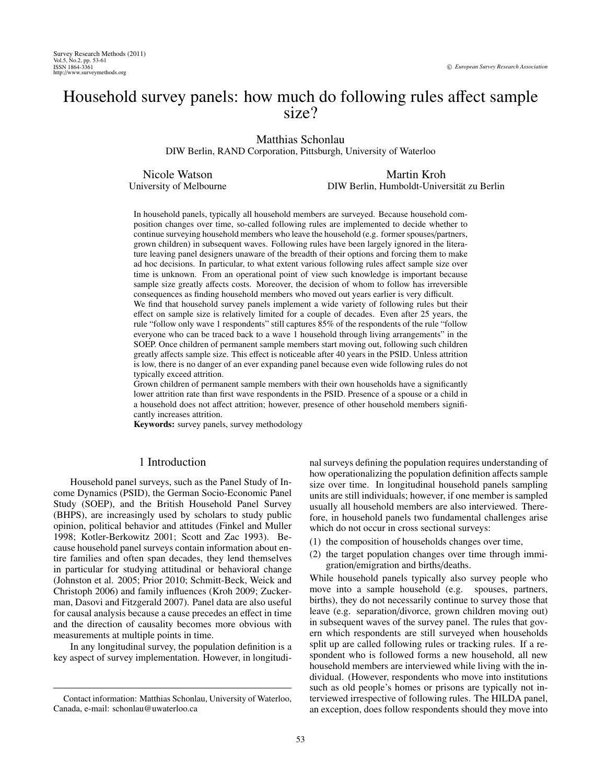# Household survey panels: how much do following rules affect sample size?

Matthias Schonlau

DIW Berlin, RAND Corporation, Pittsburgh, University of Waterloo

Nicole Watson University of Melbourne

Martin Kroh DIW Berlin, Humboldt-Universitat zu Berlin ¨

In household panels, typically all household members are surveyed. Because household composition changes over time, so-called following rules are implemented to decide whether to continue surveying household members who leave the household (e.g. former spouses/partners, grown children) in subsequent waves. Following rules have been largely ignored in the literature leaving panel designers unaware of the breadth of their options and forcing them to make ad hoc decisions. In particular, to what extent various following rules affect sample size over time is unknown. From an operational point of view such knowledge is important because sample size greatly affects costs. Moreover, the decision of whom to follow has irreversible consequences as finding household members who moved out years earlier is very difficult.

We find that household survey panels implement a wide variety of following rules but their effect on sample size is relatively limited for a couple of decades. Even after 25 years, the rule "follow only wave 1 respondents" still captures 85% of the respondents of the rule "follow everyone who can be traced back to a wave 1 household through living arrangements" in the SOEP. Once children of permanent sample members start moving out, following such children greatly affects sample size. This effect is noticeable after 40 years in the PSID. Unless attrition is low, there is no danger of an ever expanding panel because even wide following rules do not typically exceed attrition.

Grown children of permanent sample members with their own households have a significantly lower attrition rate than first wave respondents in the PSID. Presence of a spouse or a child in a household does not affect attrition; however, presence of other household members significantly increases attrition.

Keywords: survey panels, survey methodology

# 1 Introduction

Household panel surveys, such as the Panel Study of Income Dynamics (PSID), the German Socio-Economic Panel Study (SOEP), and the British Household Panel Survey (BHPS), are increasingly used by scholars to study public opinion, political behavior and attitudes (Finkel and Muller 1998; Kotler-Berkowitz 2001; Scott and Zac 1993). Because household panel surveys contain information about entire families and often span decades, they lend themselves in particular for studying attitudinal or behavioral change (Johnston et al. 2005; Prior 2010; Schmitt-Beck, Weick and Christoph 2006) and family influences (Kroh 2009; Zuckerman, Dasovi and Fitzgerald 2007). Panel data are also useful for causal analysis because a cause precedes an effect in time and the direction of causality becomes more obvious with measurements at multiple points in time.

In any longitudinal survey, the population definition is a key aspect of survey implementation. However, in longitudinal surveys defining the population requires understanding of how operationalizing the population definition affects sample size over time. In longitudinal household panels sampling units are still individuals; however, if one member is sampled usually all household members are also interviewed. Therefore, in household panels two fundamental challenges arise which do not occur in cross sectional surveys:

- (1) the composition of households changes over time,
- (2) the target population changes over time through immigration/emigration and births/deaths.

While household panels typically also survey people who move into a sample household (e.g. spouses, partners, births), they do not necessarily continue to survey those that leave (e.g. separation/divorce, grown children moving out) in subsequent waves of the survey panel. The rules that govern which respondents are still surveyed when households split up are called following rules or tracking rules. If a respondent who is followed forms a new household, all new household members are interviewed while living with the individual. (However, respondents who move into institutions such as old people's homes or prisons are typically not interviewed irrespective of following rules. The HILDA panel, an exception, does follow respondents should they move into

Contact information: Matthias Schonlau, University of Waterloo, Canada, e-mail: schonlau@uwaterloo.ca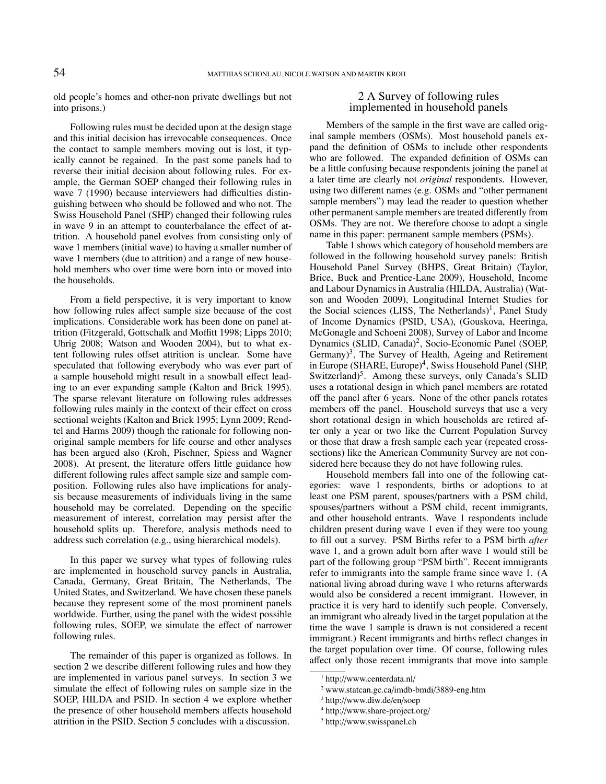old people's homes and other-non private dwellings but not into prisons.)

Following rules must be decided upon at the design stage and this initial decision has irrevocable consequences. Once the contact to sample members moving out is lost, it typically cannot be regained. In the past some panels had to reverse their initial decision about following rules. For example, the German SOEP changed their following rules in wave 7 (1990) because interviewers had difficulties distinguishing between who should be followed and who not. The Swiss Household Panel (SHP) changed their following rules in wave 9 in an attempt to counterbalance the effect of attrition. A household panel evolves from consisting only of wave 1 members (initial wave) to having a smaller number of wave 1 members (due to attrition) and a range of new household members who over time were born into or moved into the households.

From a field perspective, it is very important to know how following rules affect sample size because of the cost implications. Considerable work has been done on panel attrition (Fitzgerald, Gottschalk and Moffitt 1998; Lipps 2010; Uhrig 2008; Watson and Wooden 2004), but to what extent following rules offset attrition is unclear. Some have speculated that following everybody who was ever part of a sample household might result in a snowball effect leading to an ever expanding sample (Kalton and Brick 1995). The sparse relevant literature on following rules addresses following rules mainly in the context of their effect on cross sectional weights (Kalton and Brick 1995; Lynn 2009; Rendtel and Harms 2009) though the rationale for following nonoriginal sample members for life course and other analyses has been argued also (Kroh, Pischner, Spiess and Wagner 2008). At present, the literature offers little guidance how different following rules affect sample size and sample composition. Following rules also have implications for analysis because measurements of individuals living in the same household may be correlated. Depending on the specific measurement of interest, correlation may persist after the household splits up. Therefore, analysis methods need to address such correlation (e.g., using hierarchical models).

In this paper we survey what types of following rules are implemented in household survey panels in Australia, Canada, Germany, Great Britain, The Netherlands, The United States, and Switzerland. We have chosen these panels because they represent some of the most prominent panels worldwide. Further, using the panel with the widest possible following rules, SOEP, we simulate the effect of narrower following rules.

The remainder of this paper is organized as follows. In section 2 we describe different following rules and how they are implemented in various panel surveys. In section 3 we simulate the effect of following rules on sample size in the SOEP, HILDA and PSID. In section 4 we explore whether the presence of other household members affects household attrition in the PSID. Section 5 concludes with a discussion.

### 2 A Survey of following rules implemented in household panels

Members of the sample in the first wave are called original sample members (OSMs). Most household panels expand the definition of OSMs to include other respondents who are followed. The expanded definition of OSMs can be a little confusing because respondents joining the panel at a later time are clearly not *original* respondents. However, using two different names (e.g. OSMs and "other permanent sample members") may lead the reader to question whether other permanent sample members are treated differently from OSMs. They are not. We therefore choose to adopt a single name in this paper: permanent sample members (PSMs).

Table 1 shows which category of household members are followed in the following household survey panels: British Household Panel Survey (BHPS, Great Britain) (Taylor, Brice, Buck and Prentice-Lane 2009), Household, Income and Labour Dynamics in Australia (HILDA, Australia) (Watson and Wooden 2009), Longitudinal Internet Studies for the Social sciences (LISS, The Netherlands)<sup>1</sup>, Panel Study of Income Dynamics (PSID, USA), (Gouskova, Heeringa, McGonagle and Schoeni 2008), Survey of Labor and Income Dynamics (SLID, Canada)<sup>2</sup>, Socio-Economic Panel (SOEP, Germany)<sup>3</sup>, The Survey of Health, Ageing and Retirement in Europe (SHARE, Europe)<sup>4</sup>, Swiss Household Panel (SHP, Switzerland)<sup>5</sup>. Among these surveys, only Canada's SLID uses a rotational design in which panel members are rotated off the panel after 6 years. None of the other panels rotates members off the panel. Household surveys that use a very short rotational design in which households are retired after only a year or two like the Current Population Survey or those that draw a fresh sample each year (repeated crosssections) like the American Community Survey are not considered here because they do not have following rules.

Household members fall into one of the following categories: wave 1 respondents, births or adoptions to at least one PSM parent, spouses/partners with a PSM child, spouses/partners without a PSM child, recent immigrants, and other household entrants. Wave 1 respondents include children present during wave 1 even if they were too young to fill out a survey. PSM Births refer to a PSM birth *after* wave 1, and a grown adult born after wave 1 would still be part of the following group "PSM birth". Recent immigrants refer to immigrants into the sample frame since wave 1. (A national living abroad during wave 1 who returns afterwards would also be considered a recent immigrant. However, in practice it is very hard to identify such people. Conversely, an immigrant who already lived in the target population at the time the wave 1 sample is drawn is not considered a recent immigrant.) Recent immigrants and births reflect changes in the target population over time. Of course, following rules affect only those recent immigrants that move into sample

<sup>1</sup> http://www.centerdata.nl/

<sup>2</sup> www.statcan.gc.ca/imdb-bmdi/3889-eng.htm

<sup>3</sup> http://www.diw.de/en/soep

<sup>4</sup> http://www.share-project.org/

<sup>5</sup> http://www.swisspanel.ch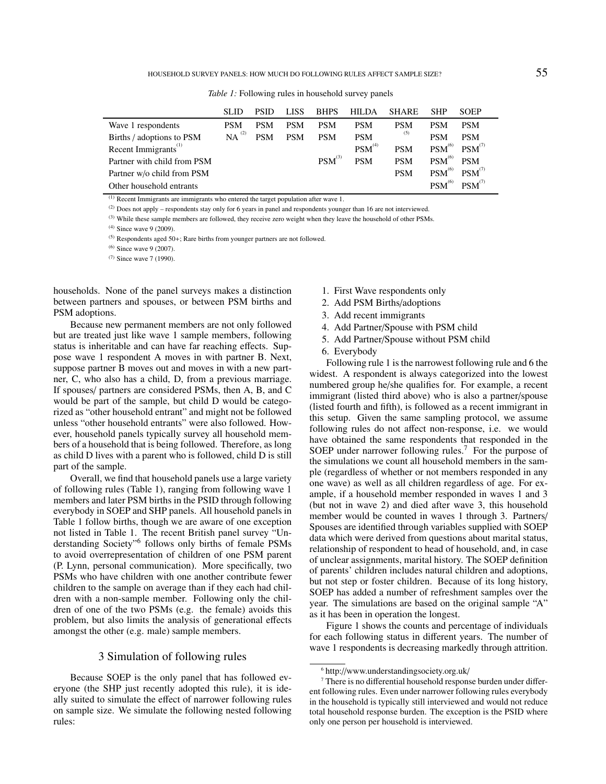|                                  | <b>SLID</b> | <b>PSID</b> | LISS       | <b>BHPS</b> | <b>HILDA</b>       | <b>SHARE</b> | <b>SHP</b>         | <b>SOEP</b> |
|----------------------------------|-------------|-------------|------------|-------------|--------------------|--------------|--------------------|-------------|
| Wave 1 respondents               | <b>PSM</b>  | <b>PSM</b>  | <b>PSM</b> | <b>PSM</b>  | <b>PSM</b>         | <b>PSM</b>   | <b>PSM</b>         | <b>PSM</b>  |
| Births / adoptions to PSM        | $NA^{(2)}$  | <b>PSM</b>  | <b>PSM</b> | <b>PSM</b>  | <b>PSM</b>         | (5)          | <b>PSM</b>         | <b>PSM</b>  |
| Recent Immigrants <sup>(1)</sup> |             |             |            |             | PSM <sup>(4)</sup> | <b>PSM</b>   | PSM <sup>(6)</sup> | $PSM^{(7)}$ |
| Partner with child from PSM      |             |             |            | $PSM^{(3)}$ | <b>PSM</b>         | <b>PSM</b>   | PSM <sup>(6)</sup> | <b>PSM</b>  |
| Partner w/o child from PSM       |             |             |            |             |                    | <b>PSM</b>   | PSM <sup>(6)</sup> | $PSM^{(7)}$ |
| Other household entrants         |             |             |            |             |                    |              | $PSM^{(6)}$        | $PSM^{(7)}$ |

*Table 1:* Following rules in household survey panels

(1) Recent Immigrants are immigrants who entered the target population after wave 1.

(2) Does not apply – respondents stay only for 6 years in panel and respondents younger than 16 are not interviewed.

(3) While these sample members are followed, they receive zero weight when they leave the household of other PSMs.

 $(4)$  Since wave 9 (2009).

(5) Respondents aged 50+; Rare births from younger partners are not followed.

(6) Since wave 9 (2007).

 $(7)$  Since wave 7 (1990).

households. None of the panel surveys makes a distinction between partners and spouses, or between PSM births and PSM adoptions.

Because new permanent members are not only followed but are treated just like wave 1 sample members, following status is inheritable and can have far reaching effects. Suppose wave 1 respondent A moves in with partner B. Next, suppose partner B moves out and moves in with a new partner, C, who also has a child, D, from a previous marriage. If spouses/ partners are considered PSMs, then A, B, and C would be part of the sample, but child D would be categorized as "other household entrant" and might not be followed unless "other household entrants" were also followed. However, household panels typically survey all household members of a household that is being followed. Therefore, as long as child D lives with a parent who is followed, child D is still part of the sample.

Overall, we find that household panels use a large variety of following rules (Table 1), ranging from following wave 1 members and later PSM births in the PSID through following everybody in SOEP and SHP panels. All household panels in Table 1 follow births, though we are aware of one exception not listed in Table 1. The recent British panel survey "Understanding Society"<sup>6</sup> follows only births of female PSMs to avoid overrepresentation of children of one PSM parent (P. Lynn, personal communication). More specifically, two PSMs who have children with one another contribute fewer children to the sample on average than if they each had children with a non-sample member. Following only the children of one of the two PSMs (e.g. the female) avoids this problem, but also limits the analysis of generational effects amongst the other (e.g. male) sample members.

#### 3 Simulation of following rules

Because SOEP is the only panel that has followed everyone (the SHP just recently adopted this rule), it is ideally suited to simulate the effect of narrower following rules on sample size. We simulate the following nested following rules:

- 1. First Wave respondents only
- 2. Add PSM Births/adoptions
- 3. Add recent immigrants
- 4. Add Partner/Spouse with PSM child
- 5. Add Partner/Spouse without PSM child
- 6. Everybody

Following rule 1 is the narrowest following rule and 6 the widest. A respondent is always categorized into the lowest numbered group he/she qualifies for. For example, a recent immigrant (listed third above) who is also a partner/spouse (listed fourth and fifth), is followed as a recent immigrant in this setup. Given the same sampling protocol, we assume following rules do not affect non-response, i.e. we would have obtained the same respondents that responded in the SOEP under narrower following rules.<sup>7</sup> For the purpose of the simulations we count all household members in the sample (regardless of whether or not members responded in any one wave) as well as all children regardless of age. For example, if a household member responded in waves 1 and 3 (but not in wave 2) and died after wave 3, this household member would be counted in waves 1 through 3. Partners/ Spouses are identified through variables supplied with SOEP data which were derived from questions about marital status, relationship of respondent to head of household, and, in case of unclear assignments, marital history. The SOEP definition of parents' children includes natural children and adoptions, but not step or foster children. Because of its long history, SOEP has added a number of refreshment samples over the year. The simulations are based on the original sample "A" as it has been in operation the longest.

Figure 1 shows the counts and percentage of individuals for each following status in different years. The number of wave 1 respondents is decreasing markedly through attrition.

<sup>6</sup> http://www.understandingsociety.org.uk/

<sup>7</sup> There is no differential household response burden under different following rules. Even under narrower following rules everybody in the household is typically still interviewed and would not reduce total household response burden. The exception is the PSID where only one person per household is interviewed.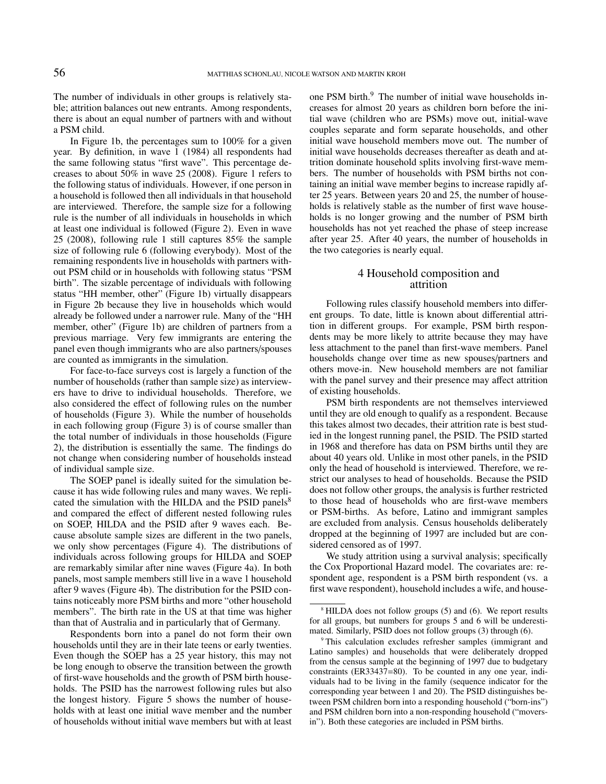The number of individuals in other groups is relatively stable; attrition balances out new entrants. Among respondents, there is about an equal number of partners with and without a PSM child.

In Figure 1b, the percentages sum to 100% for a given year. By definition, in wave 1 (1984) all respondents had the same following status "first wave". This percentage decreases to about 50% in wave 25 (2008). Figure 1 refers to the following status of individuals. However, if one person in a household is followed then all individuals in that household are interviewed. Therefore, the sample size for a following rule is the number of all individuals in households in which at least one individual is followed (Figure 2). Even in wave 25 (2008), following rule 1 still captures 85% the sample size of following rule 6 (following everybody). Most of the remaining respondents live in households with partners without PSM child or in households with following status "PSM birth". The sizable percentage of individuals with following status "HH member, other" (Figure 1b) virtually disappears in Figure 2b because they live in households which would already be followed under a narrower rule. Many of the "HH member, other" (Figure 1b) are children of partners from a previous marriage. Very few immigrants are entering the panel even though immigrants who are also partners/spouses are counted as immigrants in the simulation.

For face-to-face surveys cost is largely a function of the number of households (rather than sample size) as interviewers have to drive to individual households. Therefore, we also considered the effect of following rules on the number of households (Figure 3). While the number of households in each following group (Figure 3) is of course smaller than the total number of individuals in those households (Figure 2), the distribution is essentially the same. The findings do not change when considering number of households instead of individual sample size.

The SOEP panel is ideally suited for the simulation because it has wide following rules and many waves. We replicated the simulation with the HILDA and the PSID panels $8$ and compared the effect of different nested following rules on SOEP, HILDA and the PSID after 9 waves each. Because absolute sample sizes are different in the two panels, we only show percentages (Figure 4). The distributions of individuals across following groups for HILDA and SOEP are remarkably similar after nine waves (Figure 4a). In both panels, most sample members still live in a wave 1 household after 9 waves (Figure 4b). The distribution for the PSID contains noticeably more PSM births and more "other household members". The birth rate in the US at that time was higher than that of Australia and in particularly that of Germany.

Respondents born into a panel do not form their own households until they are in their late teens or early twenties. Even though the SOEP has a 25 year history, this may not be long enough to observe the transition between the growth of first-wave households and the growth of PSM birth households. The PSID has the narrowest following rules but also the longest history. Figure 5 shows the number of households with at least one initial wave member and the number of households without initial wave members but with at least

one PSM birth.<sup>9</sup> The number of initial wave households increases for almost 20 years as children born before the initial wave (children who are PSMs) move out, initial-wave couples separate and form separate households, and other initial wave household members move out. The number of initial wave households decreases thereafter as death and attrition dominate household splits involving first-wave members. The number of households with PSM births not containing an initial wave member begins to increase rapidly after 25 years. Between years 20 and 25, the number of households is relatively stable as the number of first wave households is no longer growing and the number of PSM birth households has not yet reached the phase of steep increase after year 25. After 40 years, the number of households in the two categories is nearly equal.

### 4 Household composition and attrition

Following rules classify household members into different groups. To date, little is known about differential attrition in different groups. For example, PSM birth respondents may be more likely to attrite because they may have less attachment to the panel than first-wave members. Panel households change over time as new spouses/partners and others move-in. New household members are not familiar with the panel survey and their presence may affect attrition of existing households.

PSM birth respondents are not themselves interviewed until they are old enough to qualify as a respondent. Because this takes almost two decades, their attrition rate is best studied in the longest running panel, the PSID. The PSID started in 1968 and therefore has data on PSM births until they are about 40 years old. Unlike in most other panels, in the PSID only the head of household is interviewed. Therefore, we restrict our analyses to head of households. Because the PSID does not follow other groups, the analysis is further restricted to those head of households who are first-wave members or PSM-births. As before, Latino and immigrant samples are excluded from analysis. Census households deliberately dropped at the beginning of 1997 are included but are considered censored as of 1997.

We study attrition using a survival analysis; specifically the Cox Proportional Hazard model. The covariates are: respondent age, respondent is a PSM birth respondent (vs. a first wave respondent), household includes a wife, and house-

<sup>&</sup>lt;sup>8</sup> HILDA does not follow groups (5) and (6). We report results for all groups, but numbers for groups 5 and 6 will be underestimated. Similarly, PSID does not follow groups (3) through (6).

<sup>9</sup> This calculation excludes refresher samples (immigrant and Latino samples) and households that were deliberately dropped from the census sample at the beginning of 1997 due to budgetary constraints (ER33437=80). To be counted in any one year, individuals had to be living in the family (sequence indicator for the corresponding year between 1 and 20). The PSID distinguishes between PSM children born into a responding household ("born-ins") and PSM children born into a non-responding household ("moversin"). Both these categories are included in PSM births.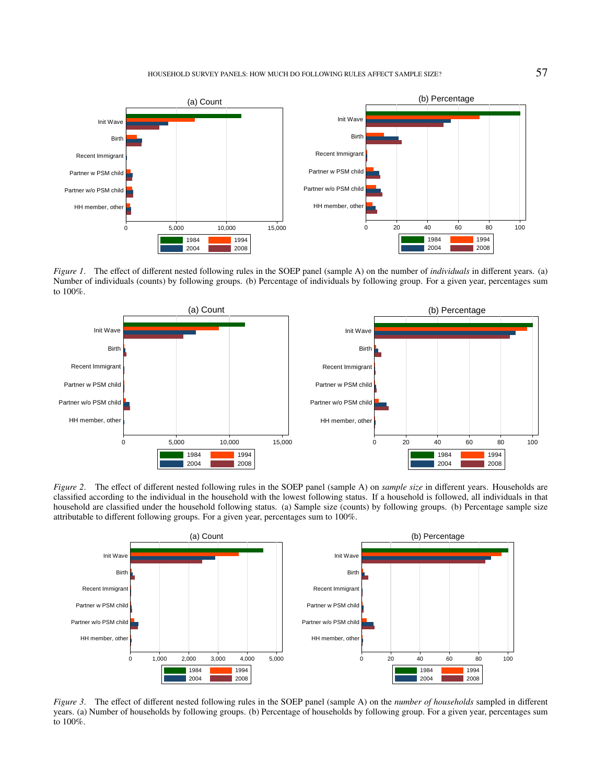HOUSEHOLD SURVEY PANELS: HOW MUCH DO FOLLOWING RULES AFFECT SAMPLE SIZE?  $57$ 



Number of individuals (counts) by following groups. (b) Percentage of individuals by following group. For a given year, percentages sum  $(100\%$ *Figure 1*. The effect of different nested following rules in the SOEP panel (sample A) on the number of *individuals* in different years. (a) to 100%.



household are classified under the household following status. (a) Sample size (counts) by following groups. (b) Percentage sample size attributable to different following groups. For a given year, percentages sum to 100%. *Figure 2.* The effect of different nested following rules in the SOEP panel (sample A) on *sample size* in different years. Households are classified according to the individual in the household with the lowest following status. If a household is followed, all individuals in that



years. (a) Number of households by following groups. (b) Percentage of households by following group. For a given year, percentages sum<br>to 100% *Figure 3*. The effect of different nested following rules in the SOEP panel (sample A) on the *number of households* sampled in different to 100%.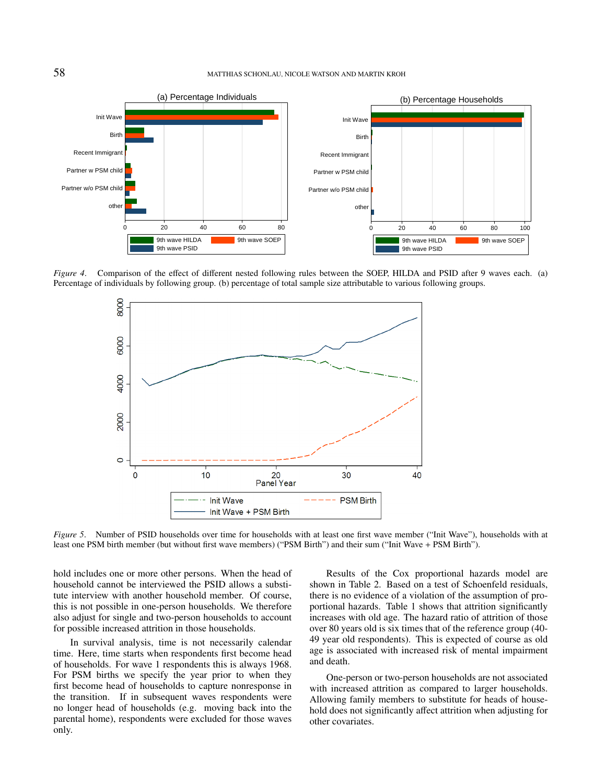

Figure 4. Comparison of the effect of different nested following rules between the SOEP, HILDA and PSID after 9 waves each. (a) Percentage of individuals by following group. (b) percentage of total sample size attributable to various following groups.



*Figure 5*. Number of PSID households over time for households with at least one first wave member ("Init Wave"), households with at least one PSM birth member (but without first wave members) ("PSM Birth") and their sum ("Init Wave + PSM Birth").

hold includes one or more other persons. When the head of household cannot be interviewed the PSID allows a substitute interview with another household member. Of course, this is not possible in one-person households. We therefore also adjust for single and two-person households to account for possible increased attrition in those households.

In survival analysis, time is not necessarily calendar time. Here, time starts when respondents first become head of households. For wave 1 respondents this is always 1968. For PSM births we specify the year prior to when they first become head of households to capture nonresponse in the transition. If in subsequent waves respondents were no longer head of households (e.g. moving back into the parental home), respondents were excluded for those waves only.

Results of the Cox proportional hazards model are shown in Table 2. Based on a test of Schoenfeld residuals, there is no evidence of a violation of the assumption of proportional hazards. Table 1 shows that attrition significantly increases with old age. The hazard ratio of attrition of those over 80 years old is six times that of the reference group (40- 49 year old respondents). This is expected of course as old age is associated with increased risk of mental impairment and death.

One-person or two-person households are not associated with increased attrition as compared to larger households. Allowing family members to substitute for heads of household does not significantly affect attrition when adjusting for other covariates.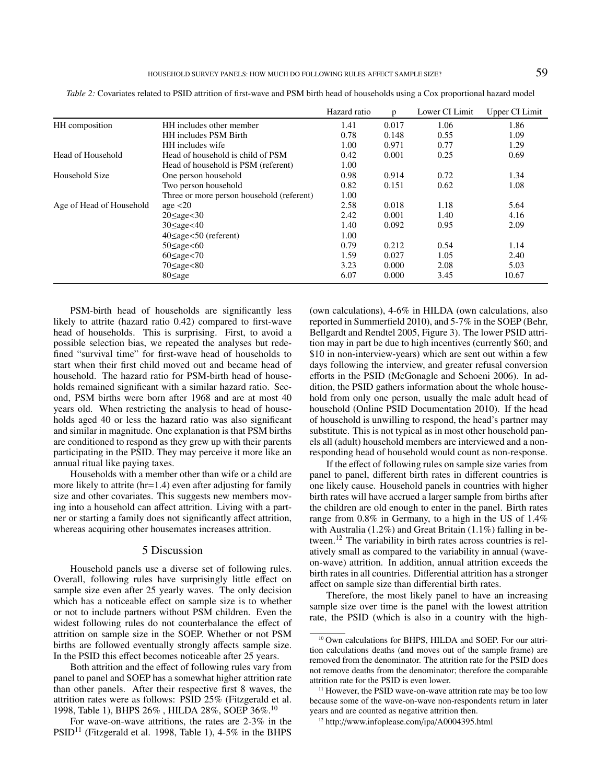|                          |                                           | Hazard ratio | p     | Lower CI Limit | Upper CI Limit |
|--------------------------|-------------------------------------------|--------------|-------|----------------|----------------|
| HH composition           | HH includes other member                  | 1.41         | 0.017 | 1.06           | 1.86           |
|                          | <b>HH</b> includes PSM Birth              | 0.78         | 0.148 | 0.55           | 1.09           |
|                          | HH includes wife                          | 1.00         | 0.971 | 0.77           | 1.29           |
| Head of Household        | Head of household is child of PSM         | 0.42         | 0.001 | 0.25           | 0.69           |
|                          | Head of household is PSM (referent)       | 1.00         |       |                |                |
| Household Size           | One person household                      | 0.98         | 0.914 | 0.72           | 1.34           |
|                          | Two person household                      | 0.82         | 0.151 | 0.62           | 1.08           |
|                          | Three or more person household (referent) | 1.00         |       |                |                |
| Age of Head of Household | age $<$ 20                                | 2.58         | 0.018 | 1.18           | 5.64           |
|                          | $20 \leq age < 30$                        | 2.42         | 0.001 | 1.40           | 4.16           |
|                          | $30 \leq$ age $< 40$                      | 1.40         | 0.092 | 0.95           | 2.09           |
|                          | $40 \leq age < 50$ (referent)             | 1.00         |       |                |                |
|                          | $50 \leq age < 60$                        | 0.79         | 0.212 | 0.54           | 1.14           |
|                          | $60 \leq age < 70$                        | 1.59         | 0.027 | 1.05           | 2.40           |
|                          | $70 \leq age < 80$                        | 3.23         | 0.000 | 2.08           | 5.03           |
|                          | $80 \leq age$                             | 6.07         | 0.000 | 3.45           | 10.67          |

*Table 2:* Covariates related to PSID attrition of first-wave and PSM birth head of households using a Cox proportional hazard model

PSM-birth head of households are significantly less likely to attrite (hazard ratio 0.42) compared to first-wave head of households. This is surprising. First, to avoid a possible selection bias, we repeated the analyses but redefined "survival time" for first-wave head of households to start when their first child moved out and became head of household. The hazard ratio for PSM-birth head of households remained significant with a similar hazard ratio. Second, PSM births were born after 1968 and are at most 40 years old. When restricting the analysis to head of households aged 40 or less the hazard ratio was also significant and similar in magnitude. One explanation is that PSM births are conditioned to respond as they grew up with their parents participating in the PSID. They may perceive it more like an annual ritual like paying taxes.

Households with a member other than wife or a child are more likely to attrite (hr=1.4) even after adjusting for family size and other covariates. This suggests new members moving into a household can affect attrition. Living with a partner or starting a family does not significantly affect attrition, whereas acquiring other housemates increases attrition.

#### 5 Discussion

Household panels use a diverse set of following rules. Overall, following rules have surprisingly little effect on sample size even after 25 yearly waves. The only decision which has a noticeable effect on sample size is to whether or not to include partners without PSM children. Even the widest following rules do not counterbalance the effect of attrition on sample size in the SOEP. Whether or not PSM births are followed eventually strongly affects sample size. In the PSID this effect becomes noticeable after 25 years.

Both attrition and the effect of following rules vary from panel to panel and SOEP has a somewhat higher attrition rate than other panels. After their respective first 8 waves, the attrition rates were as follows: PSID 25% (Fitzgerald et al. 1998, Table 1), BHPS 26% , HILDA 28%, SOEP 36%.<sup>10</sup>

For wave-on-wave attritions, the rates are 2-3% in the  $PSID<sup>11</sup>$  (Fitzgerald et al. 1998, Table 1), 4-5% in the BHPS

(own calculations), 4-6% in HILDA (own calculations, also reported in Summerfield 2010), and 5-7% in the SOEP (Behr, Bellgardt and Rendtel 2005, Figure 3). The lower PSID attrition may in part be due to high incentives (currently \$60; and \$10 in non-interview-years) which are sent out within a few days following the interview, and greater refusal conversion efforts in the PSID (McGonagle and Schoeni 2006). In addition, the PSID gathers information about the whole household from only one person, usually the male adult head of household (Online PSID Documentation 2010). If the head of household is unwilling to respond, the head's partner may substitute. This is not typical as in most other household panels all (adult) household members are interviewed and a nonresponding head of household would count as non-response.

If the effect of following rules on sample size varies from panel to panel, different birth rates in different countries is one likely cause. Household panels in countries with higher birth rates will have accrued a larger sample from births after the children are old enough to enter in the panel. Birth rates range from 0.8% in Germany, to a high in the US of 1.4% with Australia (1.2%) and Great Britain (1.1%) falling in between.<sup>12</sup> The variability in birth rates across countries is relatively small as compared to the variability in annual (waveon-wave) attrition. In addition, annual attrition exceeds the birth rates in all countries. Differential attrition has a stronger affect on sample size than differential birth rates.

Therefore, the most likely panel to have an increasing sample size over time is the panel with the lowest attrition rate, the PSID (which is also in a country with the high-

<sup>12</sup> http://www.infoplease.com/ipa/A0004395.html

<sup>&</sup>lt;sup>10</sup> Own calculations for BHPS, HILDA and SOEP. For our attrition calculations deaths (and moves out of the sample frame) are removed from the denominator. The attrition rate for the PSID does not remove deaths from the denominator; therefore the comparable attrition rate for the PSID is even lower.

<sup>&</sup>lt;sup>11</sup> However, the PSID wave-on-wave attrition rate may be too low because some of the wave-on-wave non-respondents return in later years and are counted as negative attrition then.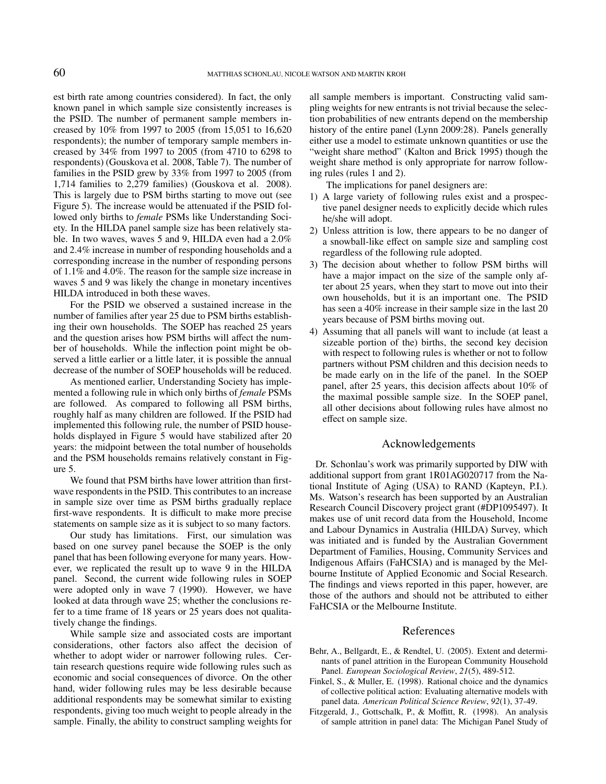est birth rate among countries considered). In fact, the only known panel in which sample size consistently increases is the PSID. The number of permanent sample members increased by 10% from 1997 to 2005 (from 15,051 to 16,620 respondents); the number of temporary sample members increased by 34% from 1997 to 2005 (from 4710 to 6298 to respondents) (Gouskova et al. 2008, Table 7). The number of families in the PSID grew by 33% from 1997 to 2005 (from 1,714 families to 2,279 families) (Gouskova et al. 2008). This is largely due to PSM births starting to move out (see Figure 5). The increase would be attenuated if the PSID followed only births to *female* PSMs like Understanding Society. In the HILDA panel sample size has been relatively stable. In two waves, waves 5 and 9, HILDA even had a 2.0% and 2.4% increase in number of responding households and a corresponding increase in the number of responding persons of 1.1% and 4.0%. The reason for the sample size increase in waves 5 and 9 was likely the change in monetary incentives HILDA introduced in both these waves.

For the PSID we observed a sustained increase in the number of families after year 25 due to PSM births establishing their own households. The SOEP has reached 25 years and the question arises how PSM births will affect the number of households. While the inflection point might be observed a little earlier or a little later, it is possible the annual decrease of the number of SOEP households will be reduced.

As mentioned earlier, Understanding Society has implemented a following rule in which only births of *female* PSMs are followed. As compared to following all PSM births, roughly half as many children are followed. If the PSID had implemented this following rule, the number of PSID households displayed in Figure 5 would have stabilized after 20 years: the midpoint between the total number of households and the PSM households remains relatively constant in Figure 5.

We found that PSM births have lower attrition than firstwave respondents in the PSID. This contributes to an increase in sample size over time as PSM births gradually replace first-wave respondents. It is difficult to make more precise statements on sample size as it is subject to so many factors.

Our study has limitations. First, our simulation was based on one survey panel because the SOEP is the only panel that has been following everyone for many years. However, we replicated the result up to wave 9 in the HILDA panel. Second, the current wide following rules in SOEP were adopted only in wave 7 (1990). However, we have looked at data through wave 25; whether the conclusions refer to a time frame of 18 years or 25 years does not qualitatively change the findings.

While sample size and associated costs are important considerations, other factors also affect the decision of whether to adopt wider or narrower following rules. Certain research questions require wide following rules such as economic and social consequences of divorce. On the other hand, wider following rules may be less desirable because additional respondents may be somewhat similar to existing respondents, giving too much weight to people already in the sample. Finally, the ability to construct sampling weights for all sample members is important. Constructing valid sampling weights for new entrants is not trivial because the selection probabilities of new entrants depend on the membership history of the entire panel (Lynn 2009:28). Panels generally either use a model to estimate unknown quantities or use the "weight share method" (Kalton and Brick 1995) though the weight share method is only appropriate for narrow following rules (rules 1 and 2).

The implications for panel designers are:

- 1) A large variety of following rules exist and a prospective panel designer needs to explicitly decide which rules he/she will adopt.
- 2) Unless attrition is low, there appears to be no danger of a snowball-like effect on sample size and sampling cost regardless of the following rule adopted.
- 3) The decision about whether to follow PSM births will have a major impact on the size of the sample only after about 25 years, when they start to move out into their own households, but it is an important one. The PSID has seen a 40% increase in their sample size in the last 20 years because of PSM births moving out.
- 4) Assuming that all panels will want to include (at least a sizeable portion of the) births, the second key decision with respect to following rules is whether or not to follow partners without PSM children and this decision needs to be made early on in the life of the panel. In the SOEP panel, after 25 years, this decision affects about 10% of the maximal possible sample size. In the SOEP panel, all other decisions about following rules have almost no effect on sample size.

#### Acknowledgements

Dr. Schonlau's work was primarily supported by DIW with additional support from grant 1R01AG020717 from the National Institute of Aging (USA) to RAND (Kapteyn, P.I.). Ms. Watson's research has been supported by an Australian Research Council Discovery project grant (#DP1095497). It makes use of unit record data from the Household, Income and Labour Dynamics in Australia (HILDA) Survey, which was initiated and is funded by the Australian Government Department of Families, Housing, Community Services and Indigenous Affairs (FaHCSIA) and is managed by the Melbourne Institute of Applied Economic and Social Research. The findings and views reported in this paper, however, are those of the authors and should not be attributed to either FaHCSIA or the Melbourne Institute.

## References

- Behr, A., Bellgardt, E., & Rendtel, U. (2005). Extent and determinants of panel attrition in the European Community Household Panel. *European Sociological Review*, *21*(5), 489-512.
- Finkel, S., & Muller, E. (1998). Rational choice and the dynamics of collective political action: Evaluating alternative models with panel data. *American Political Science Review*, *92*(1), 37-49.
- Fitzgerald, J., Gottschalk, P., & Moffitt, R. (1998). An analysis of sample attrition in panel data: The Michigan Panel Study of